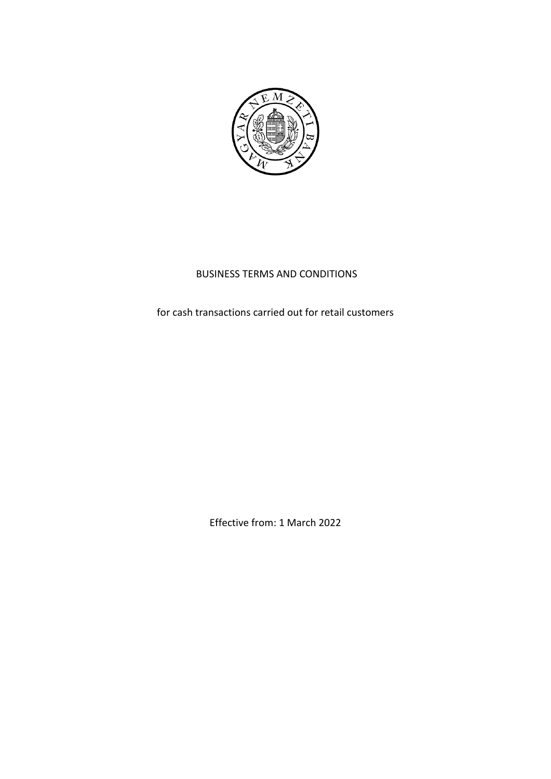

# BUSINESS TERMS AND CONDITIONS

for cash transactions carried out for retail customers

Effective from: 1 March 2022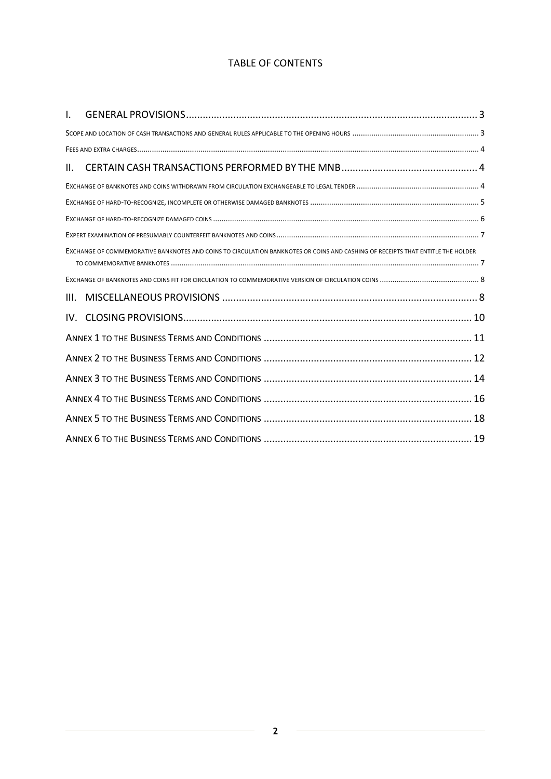# TABLE OF CONTENTS

| I.   |                                                                                                                                 |  |
|------|---------------------------------------------------------------------------------------------------------------------------------|--|
|      |                                                                                                                                 |  |
|      |                                                                                                                                 |  |
| Ш.   |                                                                                                                                 |  |
|      |                                                                                                                                 |  |
|      |                                                                                                                                 |  |
|      |                                                                                                                                 |  |
|      |                                                                                                                                 |  |
|      | EXCHANGE OF COMMEMORATIVE BANKNOTES AND COINS TO CIRCULATION BANKNOTES OR COINS AND CASHING OF RECEIPTS THAT ENTITLE THE HOLDER |  |
|      |                                                                                                                                 |  |
| III. |                                                                                                                                 |  |
| IV.  |                                                                                                                                 |  |
|      |                                                                                                                                 |  |
|      |                                                                                                                                 |  |
|      |                                                                                                                                 |  |
|      | 16                                                                                                                              |  |
|      |                                                                                                                                 |  |
|      |                                                                                                                                 |  |

i.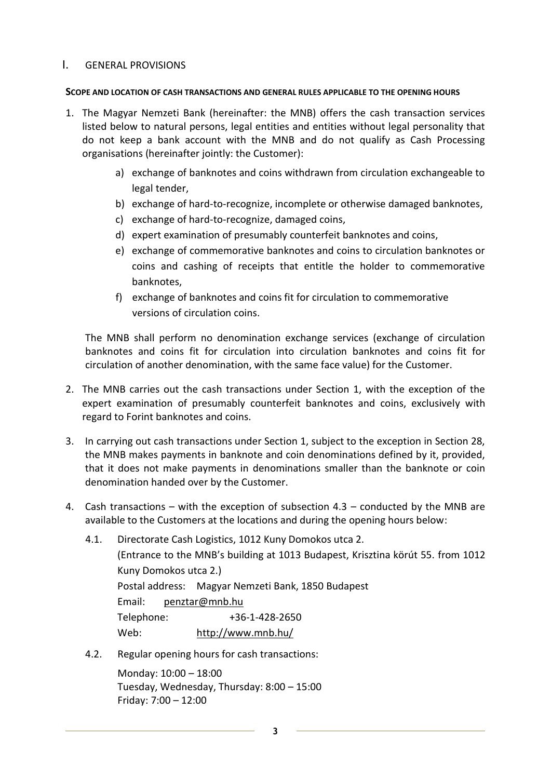## <span id="page-2-0"></span>I. GENERAL PROVISIONS

### <span id="page-2-1"></span>**SCOPE AND LOCATION OF CASH TRANSACTIONS AND GENERAL RULES APPLICABLE TO THE OPENING HOURS**

- 1. The Magyar Nemzeti Bank (hereinafter: the MNB) offers the cash transaction services listed below to natural persons, legal entities and entities without legal personality that do not keep a bank account with the MNB and do not qualify as Cash Processing organisations (hereinafter jointly: the Customer):
	- a) [exchange of banknotes and coins withdrawn from circulation exchangeable to](#page-3-1)  [legal tender,](#page-3-1)
	- b) exchange of hard-to-recognize, [incomplete or otherwise damaged banknotes,](#page-4-0)
	- c) [exchange of hard-to-recognize,](#page-4-1) damaged coins,
	- d) [expert examination of presumably counterfeit banknotes and coins,](#page-5-1)
	- e) [exchange of commemorative banknotes and coins to circulation banknotes or](#page-6-1)  [coins and cashing of receipts that entitle the holder to commemorative](#page-6-1)  [banknotes,](#page-6-1)
	- f) exchange of banknotes and coins fit for circulation to commemorative versions of circulation coins.

The MNB shall perform no denomination exchange services (exchange of circulation banknotes and coins fit for circulation into circulation banknotes and coins fit for circulation of another denomination, with the same face value) for the Customer.

- 2. The MNB carries out the cash transactions under Section 1, with the exception of the expert examination of presumably counterfeit banknotes and coins, exclusively with regard to Forint banknotes and coins.
- 3. In carrying out cash transactions under Section 1, subject to the exception in Section 28, the MNB makes payments in banknote and coin denominations defined by it, provided, that it does not make payments in denominations smaller than the banknote or coin denomination handed over by the Customer.
- 4. Cash transactions with the exception of subsection 4.3 conducted by the MNB are available to the Customers at the locations and during the opening hours below:
	- 4.1. Directorate Cash Logistics, 1012 Kuny Domokos utca 2. (Entrance to the MNB's building at 1013 Budapest, Krisztina körút 55. from 1012 Kuny Domokos utca 2.) Postal address: Magyar Nemzeti Bank, 1850 Budapest Email: [penztar@mnb.hu](mailto:penztar@mnb.hu) Telephone: +36-1-428-2650 Web: <http://www.mnb.hu/>
	- 4.2. Regular opening hours for cash transactions:

Monday: 10:00 – 18:00 Tuesday, Wednesday, Thursday: 8:00 – 15:00 Friday: 7:00 – 12:00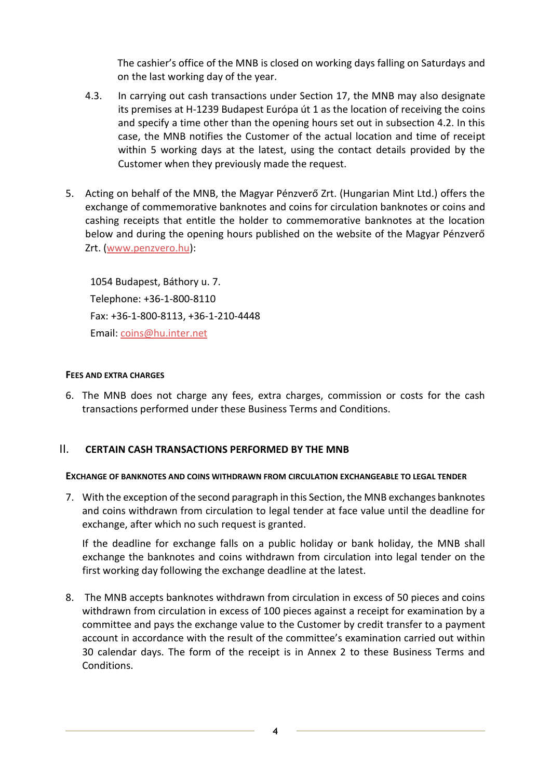The cashier's office of the MNB is closed on working days falling on Saturdays and on the last working day of the year.

- 4.3. In carrying out cash transactions under Section 17, the MNB may also designate its premises at H-1239 Budapest Európa út 1 as the location of receiving the coins and specify a time other than the opening hours set out in subsection 4.2. In this case, the MNB notifies the Customer of the actual location and time of receipt within 5 working days at the latest, using the contact details provided by the Customer when they previously made the request.
- 5. Acting on behalf of the MNB, the Magyar Pénzverő Zrt. (Hungarian Mint Ltd.) offers the exchange of commemorative banknotes and coins for circulation banknotes or coins and cashing receipts that entitle the holder to commemorative banknotes at the location below and during the opening hours published on the website of the Magyar Pénzverő Zrt. [\(www.penzvero.hu\)](http://www.penzvero.hu/):

1054 Budapest, Báthory u. 7. Telephone: +36-1-800-8110 Fax: +36-1-800-8113, +36-1-210-4448 Email: [coins@hu.inter.net](mailto:coins@hu.inter.net)

### <span id="page-3-0"></span>**FFFS AND EXTRA CHARGES**

6. The MNB does not charge any fees, extra charges, commission or costs for the cash transactions performed under these Business Terms and Conditions.

## <span id="page-3-1"></span>II. **CERTAIN CASH TRANSACTIONS PERFORMED BY THE MNB**

### <span id="page-3-2"></span>**EXCHANGE OF BANKNOTES AND COINS WITHDRAWN FROM CIRCULATION EXCHANGEABLE TO LEGAL TENDER**

7. With the exception of the second paragraph in this Section, the MNB exchanges banknotes and coins withdrawn from circulation to legal tender at face value until the deadline for exchange, after which no such request is granted.

If the deadline for exchange falls on a public holiday or bank holiday, the MNB shall exchange the banknotes and coins withdrawn from circulation into legal tender on the first working day following the exchange deadline at the latest.

8. The MNB accepts banknotes withdrawn from circulation in excess of 50 pieces and coins withdrawn from circulation in excess of 100 pieces against a receipt for examination by a committee and pays the exchange value to the Customer by credit transfer to a payment account in accordance with the result of the committee's examination carried out within 30 calendar days. The form of the receipt is in Annex 2 to these Business Terms and **Conditions**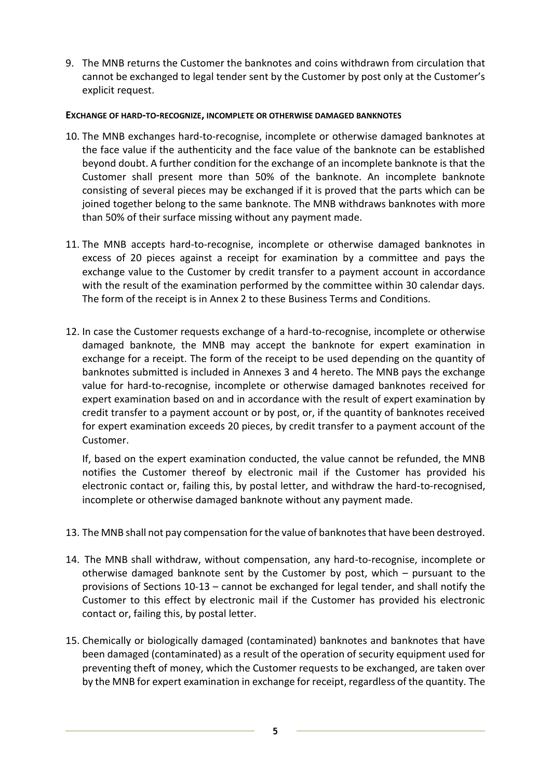9. The MNB returns the Customer the banknotes and coins withdrawn from circulation that cannot be exchanged to legal tender sent by the Customer by post only at the Customer's explicit request.

## <span id="page-4-0"></span>**EXCHANGE OF HARD-TO-RECOGNIZE, INCOMPLETE OR OTHERWISE DAMAGED BANKNOTES**

- 10. The MNB exchanges hard-to-recognise, incomplete or otherwise damaged banknotes at the face value if the authenticity and the face value of the banknote can be established beyond doubt. A further condition for the exchange of an incomplete banknote is that the Customer shall present more than 50% of the banknote. An incomplete banknote consisting of several pieces may be exchanged if it is proved that the parts which can be joined together belong to the same banknote. The MNB withdraws banknotes with more than 50% of their surface missing without any payment made.
- 11. The MNB accepts hard-to-recognise, incomplete or otherwise damaged banknotes in excess of 20 pieces against a receipt for examination by a committee and pays the exchange value to the Customer by credit transfer to a payment account in accordance with the result of the examination performed by the committee within 30 calendar days. The form of the receipt is in Annex 2 to these Business Terms and Conditions.
- 12. In case the Customer requests exchange of a hard-to-recognise, incomplete or otherwise damaged banknote, the MNB may accept the banknote for expert examination in exchange for a receipt. The form of the receipt to be used depending on the quantity of banknotes submitted is included in Annexes 3 and 4 hereto. The MNB pays the exchange value for hard-to-recognise, incomplete or otherwise damaged banknotes received for expert examination based on and in accordance with the result of expert examination by credit transfer to a payment account or by post, or, if the quantity of banknotes received for expert examination exceeds 20 pieces, by credit transfer to a payment account of the Customer.

If, based on the expert examination conducted, the value cannot be refunded, the MNB notifies the Customer thereof by electronic mail if the Customer has provided his electronic contact or, failing this, by postal letter, and withdraw the hard-to-recognised, incomplete or otherwise damaged banknote without any payment made.

- 13. The MNB shall not pay compensation for the value of banknotes that have been destroyed.
- 14. The MNB shall withdraw, without compensation, any hard-to-recognise, incomplete or otherwise damaged banknote sent by the Customer by post, which – pursuant to the provisions of Sections 10-13 – cannot be exchanged for legal tender, and shall notify the Customer to this effect by electronic mail if the Customer has provided his electronic contact or, failing this, by postal letter.
- <span id="page-4-1"></span>15. Chemically or biologically damaged (contaminated) banknotes and banknotes that have been damaged (contaminated) as a result of the operation of security equipment used for preventing theft of money, which the Customer requests to be exchanged, are taken over by the MNB for expert examination in exchange for receipt, regardless of the quantity. [The](#page-13-1)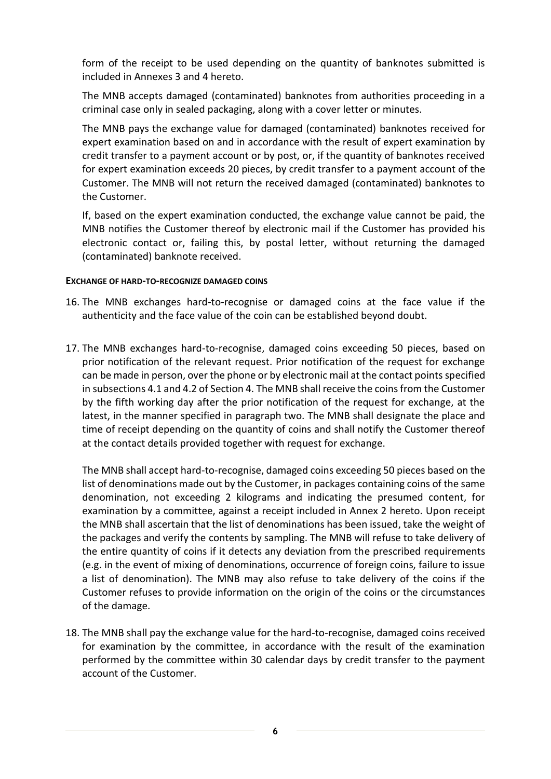[form of the receipt to be used depending on the quantity of banknotes submitted is](#page-13-1)  [included in Annexes 3 and 4 hereto.](#page-13-1)

The MNB accepts damaged (contaminated) banknotes from authorities proceeding in a criminal case only in sealed packaging, along with a cover letter or minutes.

The MNB pays the exchange value for damaged (contaminated) banknotes received for expert examination based on and in accordance with the result of expert examination by credit transfer to a payment account or by post, or, if the quantity of banknotes received for expert examination exceeds 20 pieces, by credit transfer to a payment account of the Customer. The MNB will not return the received damaged (contaminated) banknotes to the Customer.

<span id="page-5-1"></span>If, based on the expert examination conducted, the exchange value cannot be paid, the MNB notifies the Customer thereof by electronic mail if the Customer has provided his electronic contact or, failing this, by postal letter, without returning the damaged (contaminated) banknote received.

### <span id="page-5-0"></span>**EXCHANGE OF HARD-TO-RECOGNIZE DAMAGED COINS**

- 16. The MNB exchanges hard-to-recognise or damaged coins at the face value if the authenticity and the face value of the coin can be established beyond doubt.
- 17. The MNB exchanges hard-to-recognise, damaged coins exceeding 50 pieces, based on prior notification of the relevant request. Prior notification of the request for exchange can be made in person, over the phone or by electronic mail at the contact points specified in subsections 4.1 and 4.2 of Section 4. The MNB shall receive the coins from the Customer by the fifth working day after the prior notification of the request for exchange, at the latest, in the manner specified in paragraph two. The MNB shall designate the place and time of receipt depending on the quantity of coins and shall notify the Customer thereof at the contact details provided together with request for exchange.

The MNB shall accept hard-to-recognise, damaged coins exceeding 50 pieces based on the list of denominations made out by the Customer, in packages containing coins of the same denomination, not exceeding 2 kilograms and indicating the presumed content, for examination by a committee, against a receipt included in Annex 2 hereto. Upon receipt the MNB shall ascertain that the list of denominations has been issued, take the weight of the packages and verify the contents by sampling. The MNB will refuse to take delivery of the entire quantity of coins if it detects any deviation from the prescribed requirements (e.g. in the event of mixing of denominations, occurrence of foreign coins, failure to issue a list of denomination). The MNB may also refuse to take delivery of the coins if the Customer refuses to provide information on the origin of the coins or the circumstances of the damage.

18. The MNB shall pay the exchange value for the hard-to-recognise, damaged coins received for examination by the committee, in accordance with the result of the examination performed by the committee within 30 calendar days by credit transfer to the payment account of the Customer.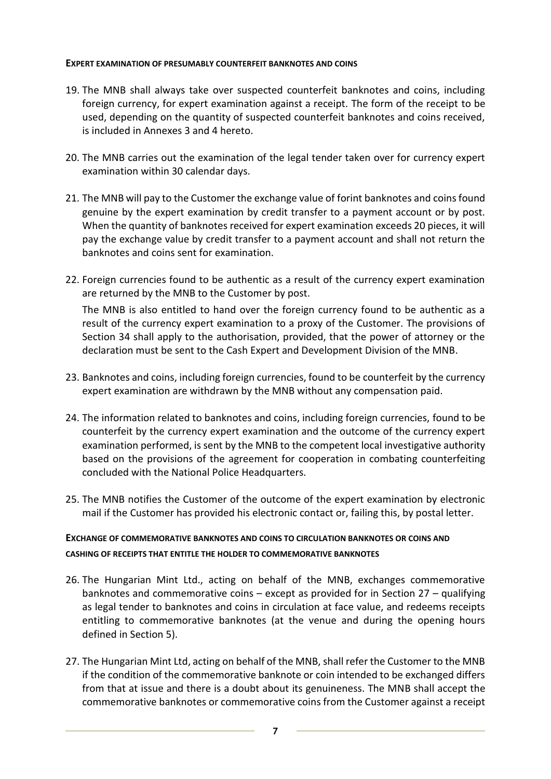### <span id="page-6-0"></span>**EXPERT EXAMINATION OF PRESUMABLY COUNTERFEIT BANKNOTES AND COINS**

- 19. The MNB shall always take over suspected counterfeit banknotes and coins, including foreign currency, for expert examination against a receipt. The form of the receipt to be used, depending on the quantity of suspected counterfeit banknotes and coins received, is included in Annexes 3 and 4 hereto.
- 20. The MNB carries out the examination of the legal tender taken over for currency expert examination within 30 calendar days.
- 21. The MNB will pay to the Customer the exchange value of forint banknotes and coins found genuine by the expert examination by credit transfer to a payment account or by post. When the quantity of banknotes received for expert examination exceeds 20 pieces, it will pay the exchange value by credit transfer to a payment account and shall not return the banknotes and coins sent for examination.
- 22. Foreign currencies found to be authentic as a result of the currency expert examination are returned by the MNB to the Customer by post.

The MNB is also entitled to hand over the foreign currency found to be authentic as a result of the currency expert examination to a proxy of the Customer. The provisions of Section 34 shall apply to the authorisation, provided, that the power of attorney or the declaration must be sent to the Cash Expert and Development Division of the MNB.

- 23. Banknotes and coins, including foreign currencies, found to be counterfeit by the currency expert examination are withdrawn by the MNB without any compensation paid.
- 24. The information related to banknotes and coins, including foreign currencies, found to be counterfeit by the currency expert examination and the outcome of the currency expert examination performed, is sent by the MNB to the competent local investigative authority based on the provisions of the agreement for cooperation in combating counterfeiting concluded with the National Police Headquarters.
- 25. The MNB notifies the Customer of the outcome of the expert examination by electronic mail if the Customer has provided his electronic contact or, failing this, by postal letter.

# <span id="page-6-1"></span>**EXCHANGE OF COMMEMORATIVE BANKNOTES AND COINS TO CIRCULATION BANKNOTES OR COINS AND CASHING OF RECEIPTS THAT ENTITLE THE HOLDER TO COMMEMORATIVE BANKNOTES**

- 26. The Hungarian Mint Ltd., acting on behalf of the MNB, exchanges commemorative banknotes and commemorative coins – except as provided for in Section 27 – qualifying as legal tender to banknotes and coins in circulation at face value, and redeems receipts entitling to commemorative banknotes (at the venue and during the opening hours defined in Section 5).
- 27. The Hungarian Mint Ltd, acting on behalf of the MNB, shall refer the Customer to the MNB if the condition of the commemorative banknote or coin intended to be exchanged differs from that at issue and there is a doubt about its genuineness. The MNB shall accept the commemorative banknotes or commemorative coins from the Customer against a receipt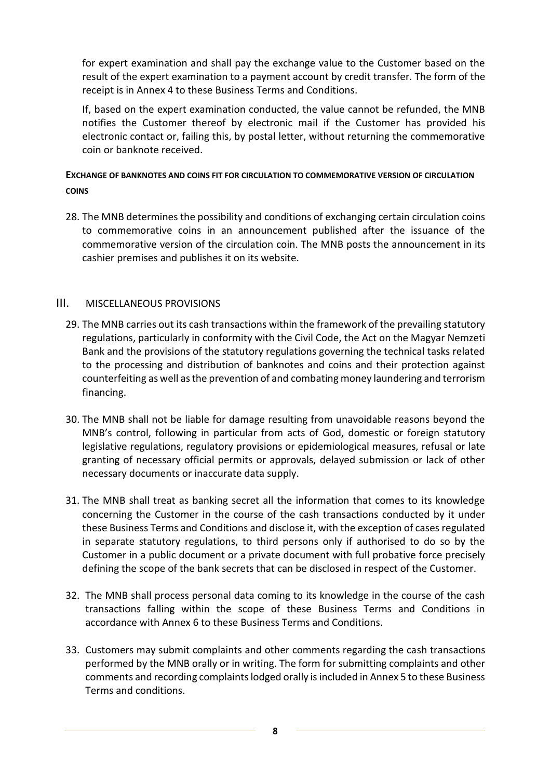for expert examination and shall pay the exchange value to the Customer based on the result of the expert examination to a payment account by credit transfer. The form of the receipt is in Annex 4 to these Business Terms and Conditions.

If, based on the expert examination conducted, the value cannot be refunded, the MNB notifies the Customer thereof by electronic mail if the Customer has provided his electronic contact or, failing this, by postal letter, without returning the commemorative coin or banknote received.

# <span id="page-7-0"></span>**EXCHANGE OF BANKNOTES AND COINS FIT FOR CIRCULATION TO COMMEMORATIVE VERSION OF CIRCULATION COINS**

28. The MNB determines the possibility and conditions of exchanging certain circulation coins to commemorative coins in an announcement published after the issuance of the commemorative version of the circulation coin. The MNB posts the announcement in its cashier premises and publishes it on its website.

# <span id="page-7-1"></span>III. MISCELLANEOUS PROVISIONS

- 29. The MNB carries out its cash transactions within the framework of the prevailing statutory regulations, particularly in conformity with the Civil Code, the Act on the Magyar Nemzeti Bank and the provisions of the statutory regulations governing the technical tasks related to the processing and distribution of banknotes and coins and their protection against counterfeiting as well as the prevention of and combating money laundering and terrorism financing.
- 30. The MNB shall not be liable for damage resulting from unavoidable reasons beyond the MNB's control, following in particular from acts of God, domestic or foreign statutory legislative regulations, regulatory provisions or epidemiological measures, refusal or late granting of necessary official permits or approvals, delayed submission or lack of other necessary documents or inaccurate data supply.
- 31. The MNB shall treat as banking secret all the information that comes to its knowledge concerning the Customer in the course of the cash transactions conducted by it under these Business Terms and Conditions and disclose it, with the exception of cases regulated in separate statutory regulations, to third persons only if authorised to do so by the Customer in a public document or a private document with full probative force precisely defining the scope of the bank secrets that can be disclosed in respect of the Customer.
- 32. The MNB shall process personal data coming to its knowledge in the course of the cash transactions falling within the scope of these Business Terms and Conditions in accordance with Annex 6 to these Business Terms and Conditions.
- 33. [Customers may submit complaints and other comments regarding the cash transactions](#page-17-0)  [performed by the MNB orally or in writing. The form for submitting complaints and other](#page-17-0)  [comments and recording complaints lodged orally is included in Annex 5 to these Business](#page-17-0)  [Terms and conditions.](#page-17-0)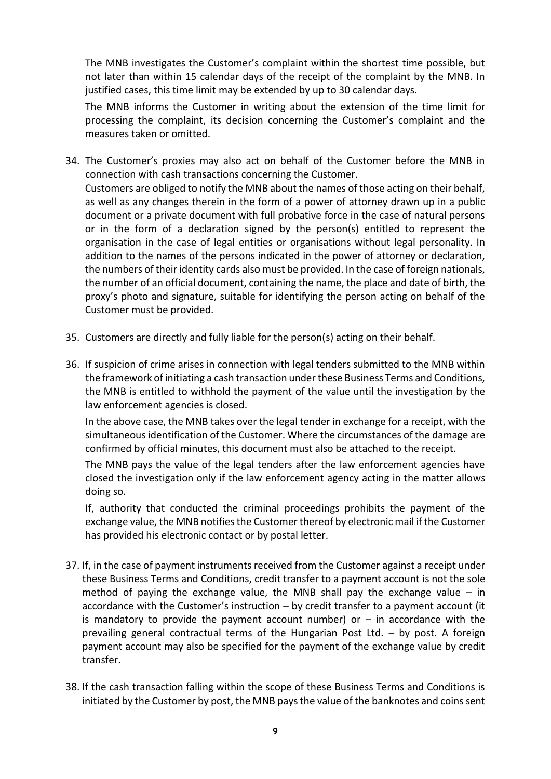The MNB investigates the Customer's complaint within the shortest time possible, but not later than within 15 calendar days of the receipt of the complaint by the MNB. In justified cases, this time limit may be extended by up to 30 calendar days.

The MNB informs the Customer in writing about the extension of the time limit for processing the complaint, its decision concerning the Customer's complaint and the measures taken or omitted.

- 34. The Customer's proxies may also act on behalf of the Customer before the MNB in connection with cash transactions concerning the Customer. Customers are obliged to notify the MNB about the names of those acting on their behalf, as well as any changes therein in the form of a power of attorney drawn up in a public document or a private document with full probative force in the case of natural persons or in the form of a declaration signed by the person(s) entitled to represent the organisation in the case of legal entities or organisations without legal personality. In addition to the names of the persons indicated in the power of attorney or declaration, the numbers of their identity cards also must be provided. In the case of foreign nationals, the number of an official document, containing the name, the place and date of birth, the proxy's photo and signature, suitable for identifying the person acting on behalf of the Customer must be provided.
- 35. Customers are directly and fully liable for the person(s) acting on their behalf.
- 36. If suspicion of crime arises in connection with legal tenders submitted to the MNB within the framework of initiating a cash transaction under these Business Terms and Conditions, the MNB is entitled to withhold the payment of the value until the investigation by the law enforcement agencies is closed.

In the above case, the MNB takes over the legal tender in exchange for a receipt, with the simultaneous identification of the Customer. Where the circumstances of the damage are confirmed by official minutes, this document must also be attached to the receipt.

The MNB pays the value of the legal tenders after the law enforcement agencies have closed the investigation only if the law enforcement agency acting in the matter allows doing so.

If, authority that conducted the criminal proceedings prohibits the payment of the exchange value, the MNB notifies the Customer thereof by electronic mail if the Customer has provided his electronic contact or by postal letter.

- 37. If, in the case of payment instruments received from the Customer against a receipt under these Business Terms and Conditions, credit transfer to a payment account is not the sole method of paying the exchange value, the MNB shall pay the exchange value  $-$  in accordance with the Customer's instruction – by credit transfer to a payment account (it is mandatory to provide the payment account number) or  $-$  in accordance with the prevailing general contractual terms of the Hungarian Post Ltd. – by post. A foreign payment account may also be specified for the payment of the exchange value by credit transfer.
- 38. If the cash transaction falling within the scope of these Business Terms and Conditions is initiated by the Customer by post, the MNB pays the value of the banknotes and coins sent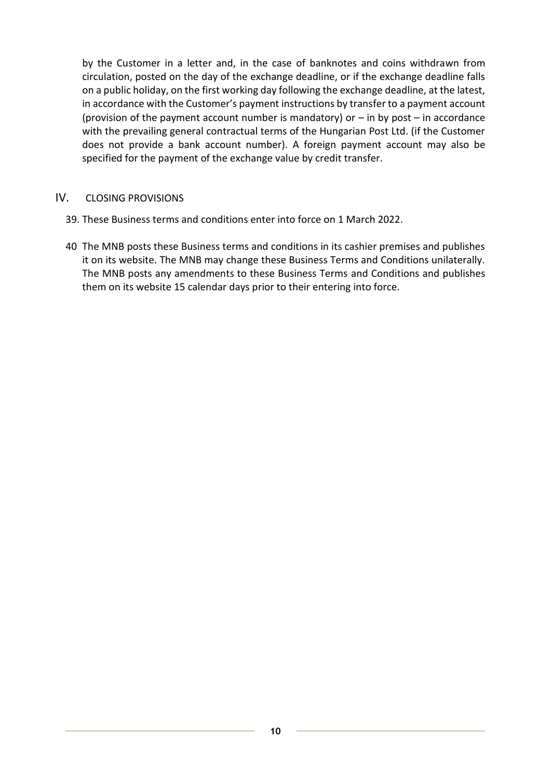by the Customer in a letter and, in the case of banknotes and coins withdrawn from circulation, posted on the day of the exchange deadline, or if the exchange deadline falls on a public holiday, on the first working day following the exchange deadline, at the latest, in accordance with the Customer's payment instructions by transfer to a payment account (provision of the payment account number is mandatory) or  $-$  in by post  $-$  in accordance with the prevailing general contractual terms of the Hungarian Post Ltd. (if the Customer does not provide a bank account number). A foreign payment account may also be specified for the payment of the exchange value by credit transfer.

# <span id="page-9-0"></span>IV. CLOSING PROVISIONS

- 39. These Business terms and conditions enter into force on 1 March 2022.
- 40 The MNB posts these Business terms and conditions in its cashier premises and publishes it on its website. The MNB may change these Business Terms and Conditions unilaterally. The MNB posts any amendments to these Business Terms and Conditions and publishes them on its website 15 calendar days prior to their entering into force.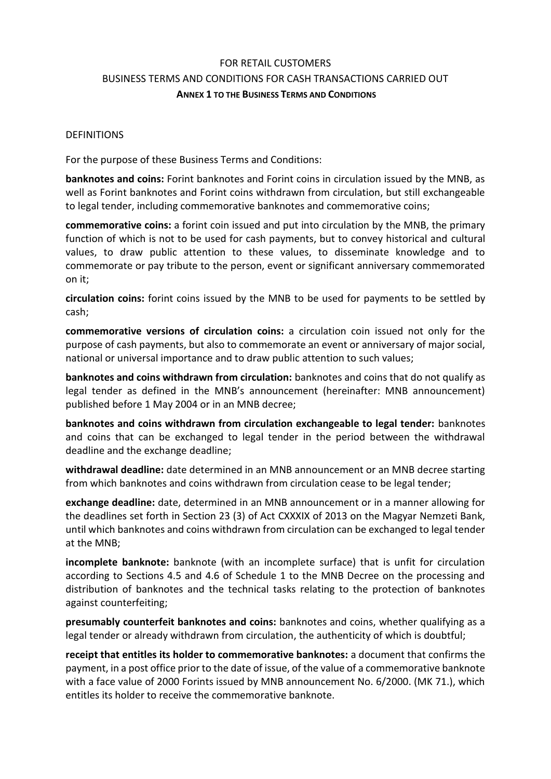# <span id="page-10-0"></span>FOR RETAIL CUSTOMERS BUSINESS TERMS AND CONDITIONS FOR CASH TRANSACTIONS CARRIED OUT **ANNEX 1 TO THE BUSINESS TERMS AND CONDITIONS**

### DEFINITIONS

For the purpose of these Business Terms and Conditions:

**banknotes and coins:** Forint banknotes and Forint coins in circulation issued by the MNB, as well as Forint banknotes and Forint coins withdrawn from circulation, but still exchangeable to legal tender, including commemorative banknotes and commemorative coins;

**commemorative coins:** a forint coin issued and put into circulation by the MNB, the primary function of which is not to be used for cash payments, but to convey historical and cultural values, to draw public attention to these values, to disseminate knowledge and to commemorate or pay tribute to the person, event or significant anniversary commemorated on it;

**circulation coins:** forint coins issued by the MNB to be used for payments to be settled by cash;

**commemorative versions of circulation coins:** a circulation coin issued not only for the purpose of cash payments, but also to commemorate an event or anniversary of major social, national or universal importance and to draw public attention to such values;

**banknotes and coins withdrawn from circulation:** banknotes and coins that do not qualify as legal tender as defined in the MNB's announcement (hereinafter: MNB announcement) published before 1 May 2004 or in an MNB decree;

**banknotes and coins withdrawn from circulation exchangeable to legal tender:** banknotes and coins that can be exchanged to legal tender in the period between the withdrawal deadline and the exchange deadline;

**withdrawal deadline:** date determined in an MNB announcement or an MNB decree starting from which banknotes and coins withdrawn from circulation cease to be legal tender;

**exchange deadline:** date, determined in an MNB announcement or in a manner allowing for the deadlines set forth in Section 23 (3) of Act CXXXIX of 2013 on the Magyar Nemzeti Bank, until which banknotes and coins withdrawn from circulation can be exchanged to legal tender at the MNB;

**incomplete banknote:** banknote (with an incomplete surface) that is unfit for circulation according to Sections 4.5 and 4.6 of Schedule 1 to the MNB Decree on the processing and distribution of banknotes and the technical tasks relating to the protection of banknotes against counterfeiting;

**presumably counterfeit banknotes and coins:** banknotes and coins, whether qualifying as a legal tender or already withdrawn from circulation, the authenticity of which is doubtful;

**receipt that entitles its holder to commemorative banknotes:** a document that confirms the payment, in a post office prior to the date of issue, of the value of a commemorative banknote with a face value of 2000 Forints issued by MNB announcement No. 6/2000. (MK 71.), which entitles its holder to receive the commemorative banknote.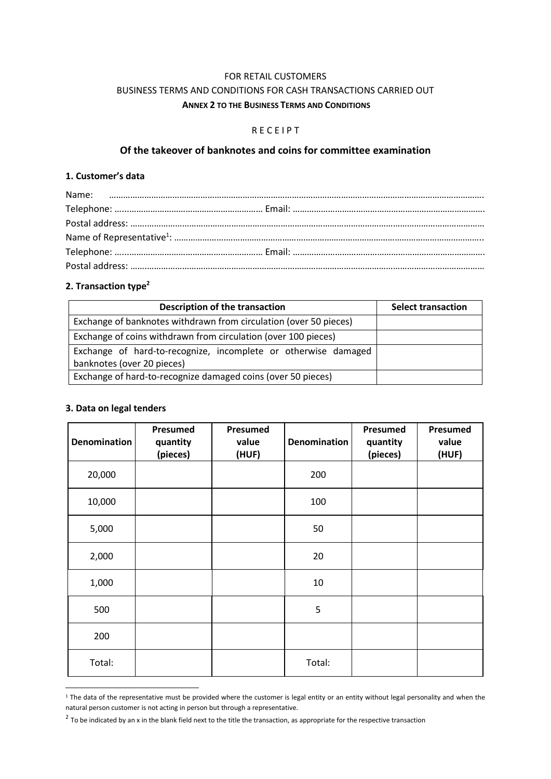## <span id="page-11-0"></span>FOR RETAIL CUSTOMERS BUSINESS TERMS AND CONDITIONS FOR CASH TRANSACTIONS CARRIED OUT **ANNEX 2 TO THE BUSINESS TERMS AND CONDITIONS**

#### R E C E I P T

# **Of the takeover of banknotes and coins for committee examination**

#### **1. Customer's data**

#### **2. Transaction type<sup>2</sup>**

| Description of the transaction                                                               | <b>Select transaction</b> |
|----------------------------------------------------------------------------------------------|---------------------------|
| Exchange of banknotes withdrawn from circulation (over 50 pieces)                            |                           |
| Exchange of coins withdrawn from circulation (over 100 pieces)                               |                           |
| Exchange of hard-to-recognize, incomplete or otherwise damaged<br>banknotes (over 20 pieces) |                           |
| Exchange of hard-to-recognize damaged coins (over 50 pieces)                                 |                           |

#### **3. Data on legal tenders**

| <b>Denomination</b> | Presumed<br>quantity<br>(pieces) | Presumed<br>value<br>(HUF) | <b>Denomination</b> | Presumed<br>quantity<br>(pieces) | <b>Presumed</b><br>value<br>(HUF) |
|---------------------|----------------------------------|----------------------------|---------------------|----------------------------------|-----------------------------------|
| 20,000              |                                  |                            | 200                 |                                  |                                   |
| 10,000              |                                  |                            | 100                 |                                  |                                   |
| 5,000               |                                  |                            | 50                  |                                  |                                   |
| 2,000               |                                  |                            | 20                  |                                  |                                   |
| 1,000               |                                  |                            | 10                  |                                  |                                   |
| 500                 |                                  |                            | 5                   |                                  |                                   |
| 200                 |                                  |                            |                     |                                  |                                   |
| Total:              |                                  |                            | Total:              |                                  |                                   |

 $1$  The data of the representative must be provided where the customer is legal entity or an entity without legal personality and when the natural person customer is not acting in person but through a representative.

 $^2$  To be indicated by an x in the blank field next to the title the transaction, as appropriate for the respective transaction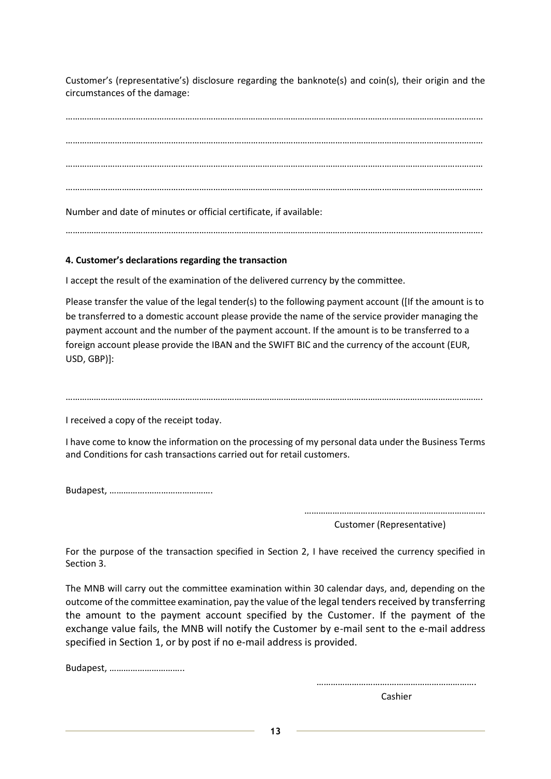Customer's (representative's) disclosure regarding the banknote(s) and coin(s), their origin and the circumstances of the damage:

………………………………………………………………………………………………………………………….………………………………… ………………………………………………………………….………………………………………………………………………………………… ……………………………………………………………………………………………………………………….…………………………………… ……………………………………………………………………………………………………………………….……………………………………

Number and date of minutes or official certificate, if available:

…………………………………………………………………………………………………………………………………………………………….

### **4. Customer's declarations regarding the transaction**

I accept the result of the examination of the delivered currency by the committee.

Please transfer the value of the legal tender(s) to the following payment account ([If the amount is to be transferred to a domestic account please provide the name of the service provider managing the payment account and the number of the payment account. If the amount is to be transferred to a foreign account please provide the IBAN and the SWIFT BIC and the currency of the account (EUR, USD, GBP)]:

…………………………………………………………………………………………………………………………………………………………….

I received a copy of the receipt today.

I have come to know the information on the processing of my personal data under the Business Terms and Conditions for cash transactions carried out for retail customers.

Budapest, …………….……………………….

……………………….………………………………………….

Customer (Representative)

For the purpose of the transaction specified in Section 2, I have received the currency specified in Section 3.

The MNB will carry out the committee examination within 30 calendar days, and, depending on the outcome of the committee examination, pay the value of the legal tenders received by transferring the amount to the payment account specified by the Customer. If the payment of the exchange value fails, the MNB will notify the Customer by e-mail sent to the e-mail address specified in Section 1, or by post if no e-mail address is provided.

Budapest, …………………………..

………………………….……………………………….

Cashier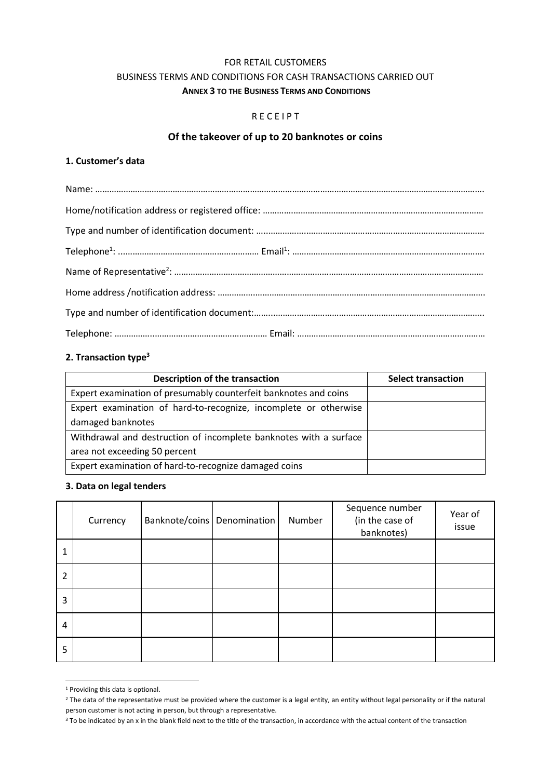#### FOR RETAIL CUSTOMERS

### <span id="page-13-1"></span>BUSINESS TERMS AND CONDITIONS FOR CASH TRANSACTIONS CARRIED OUT **ANNEX 3 TO THE BUSINESS TERMS AND CONDITIONS**

#### R E C E I P T

### <span id="page-13-0"></span>**Of the takeover of up to 20 banknotes or coins**

#### **1. Customer's data**

### **2. Transaction type<sup>3</sup>**

| Description of the transaction                                    | <b>Select transaction</b> |
|-------------------------------------------------------------------|---------------------------|
| Expert examination of presumably counterfeit banknotes and coins  |                           |
| Expert examination of hard-to-recognize, incomplete or otherwise  |                           |
| damaged banknotes                                                 |                           |
| Withdrawal and destruction of incomplete banknotes with a surface |                           |
| area not exceeding 50 percent                                     |                           |
| Expert examination of hard-to-recognize damaged coins             |                           |

### **3. Data on legal tenders**

|   | Currency | Banknote/coins   Denomination | Number | Sequence number<br>(in the case of<br>banknotes) | Year of<br>issue |
|---|----------|-------------------------------|--------|--------------------------------------------------|------------------|
|   |          |                               |        |                                                  |                  |
| 2 |          |                               |        |                                                  |                  |
| 3 |          |                               |        |                                                  |                  |
| 4 |          |                               |        |                                                  |                  |
| 5 |          |                               |        |                                                  |                  |

<sup>&</sup>lt;sup>1</sup> Providing this data is optional.

<sup>&</sup>lt;sup>2</sup> The data of the representative must be provided where the customer is a legal entity, an entity without legal personality or if the natural person customer is not acting in person, but through a representative.

<sup>&</sup>lt;sup>3</sup> To be indicated by an x in the blank field next to the title of the transaction, in accordance with the actual content of the transaction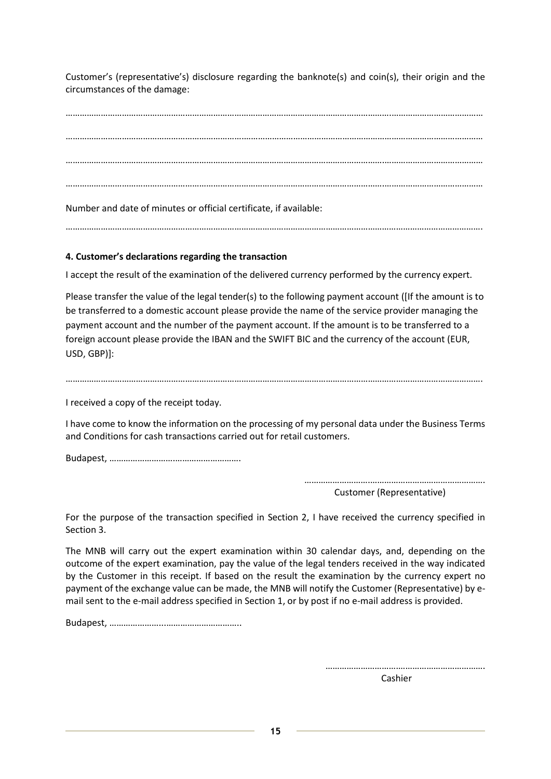Customer's (representative's) disclosure regarding the banknote(s) and coin(s), their origin and the circumstances of the damage:

………………………………………………………………………………………………………………………….………………………………… ………………………………………………………………….………………………………………………………………………………………… ……………………………………………………………………………………………………………………….…………………………………… ……………………………………………………………………………………………………………………….……………………………………

Number and date of minutes or official certificate, if available:

…………………………………………………………………………………………………………………………………………………………….

# **4. Customer's declarations regarding the transaction**

I accept the result of the examination of the delivered currency performed by the currency expert.

Please transfer the value of the legal tender(s) to the following payment account ([If the amount is to be transferred to a domestic account please provide the name of the service provider managing the payment account and the number of the payment account. If the amount is to be transferred to a foreign account please provide the IBAN and the SWIFT BIC and the currency of the account (EUR, USD, GBP)]:

### …………………………………………………………………………………………………………………………………………………………….

I received a copy of the receipt today.

I have come to know the information on the processing of my personal data under the Business Terms and Conditions for cash transactions carried out for retail customers.

Budapest, ……………………….……………………….

……………………….………………………………………….

Customer (Representative)

For the purpose of the transaction specified in Section 2, I have received the currency specified in Section 3.

The MNB will carry out the expert examination within 30 calendar days, and, depending on the outcome of the expert examination, pay the value of the legal tenders received in the way indicated by the Customer in this receipt. If based on the result the examination by the currency expert no payment of the exchange value can be made, the MNB will notify the Customer (Representative) by email sent to the e-mail address specified in Section 1, or by post if no e-mail address is provided.

Budapest, …………………...…………………………..

………………………….……………………………….

Cashier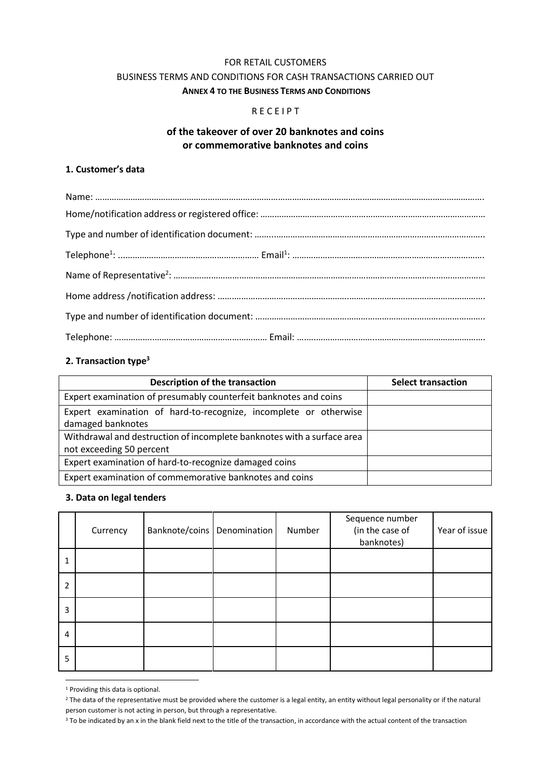## FOR RETAIL CUSTOMERS

# BUSINESS TERMS AND CONDITIONS FOR CASH TRANSACTIONS CARRIED OUT

<span id="page-15-0"></span>**ANNEX 4 TO THE BUSINESS TERMS AND CONDITIONS**

### R E C E I P T

### **of the takeover of over 20 banknotes and coins or commemorative banknotes and coins**

#### **1. Customer's data**

### **2. Transaction type<sup>3</sup>**

| Description of the transaction                                         | <b>Select transaction</b> |
|------------------------------------------------------------------------|---------------------------|
| Expert examination of presumably counterfeit banknotes and coins       |                           |
| Expert examination of hard-to-recognize, incomplete or otherwise       |                           |
| damaged banknotes                                                      |                           |
| Withdrawal and destruction of incomplete banknotes with a surface area |                           |
| not exceeding 50 percent                                               |                           |
| Expert examination of hard-to-recognize damaged coins                  |                           |
| Expert examination of commemorative banknotes and coins                |                           |

#### **3. Data on legal tenders**

|   | Currency | Banknote/coins   Denomination | Number | Sequence number<br>(in the case of<br>banknotes) | Year of issue |
|---|----------|-------------------------------|--------|--------------------------------------------------|---------------|
|   |          |                               |        |                                                  |               |
| 2 |          |                               |        |                                                  |               |
| 3 |          |                               |        |                                                  |               |
| 4 |          |                               |        |                                                  |               |
| 5 |          |                               |        |                                                  |               |

<sup>1</sup> Providing this data is optional.

 $2$  The data of the representative must be provided where the customer is a legal entity, an entity without legal personality or if the natural person customer is not acting in person, but through a representative.

<sup>&</sup>lt;sup>3</sup> To be indicated by an x in the blank field next to the title of the transaction, in accordance with the actual content of the transaction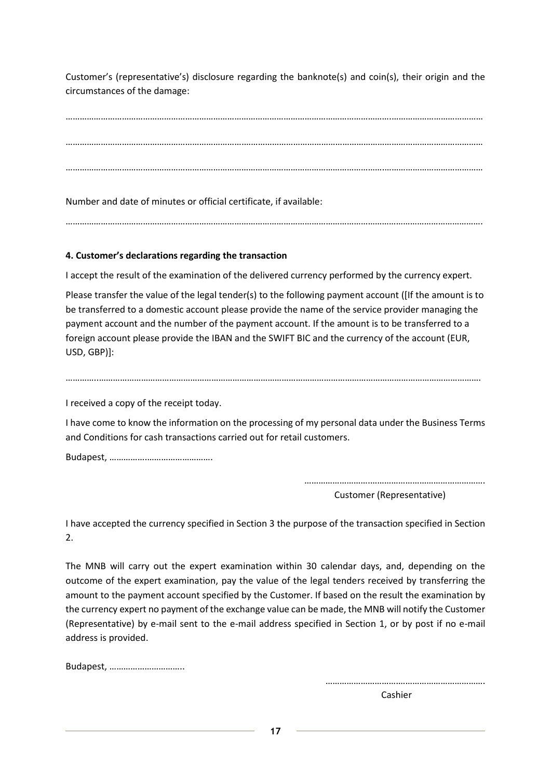Customer's (representative's) disclosure regarding the banknote(s) and coin(s), their origin and the circumstances of the damage:

………………………………………………………………………………………………………………………….………………………………… ………………………………………………………………….………………………………………………………………………………………… ……………………………………………………………………………………………………………………….……………………………………

Number and date of minutes or official certificate, if available:

# …………………………………………………………………………………………………………………………………………………………….

# **4. Customer's declarations regarding the transaction**

I accept the result of the examination of the delivered currency performed by the currency expert.

Please transfer the value of the legal tender(s) to the following payment account ([If the amount is to be transferred to a domestic account please provide the name of the service provider managing the payment account and the number of the payment account. If the amount is to be transferred to a foreign account please provide the IBAN and the SWIFT BIC and the currency of the account (EUR, USD, GBP)]:

#### …………..……………………………………………………………………………………………………………………………………………….

I received a copy of the receipt today.

I have come to know the information on the processing of my personal data under the Business Terms and Conditions for cash transactions carried out for retail customers.

Budapest, …………….……………………….

……………………….………………………………………….

Customer (Representative)

I have accepted the currency specified in Section 3 the purpose of the transaction specified in Section 2.

The MNB will carry out the expert examination within 30 calendar days, and, depending on the outcome of the expert examination, pay the value of the legal tenders received by transferring the amount to the payment account specified by the Customer. If based on the result the examination by the currency expert no payment of the exchange value can be made, the MNB will notify the Customer (Representative) by e-mail sent to the e-mail address specified in Section 1, or by post if no e-mail address is provided.

Budapest, …………………………..

………………………….……………………………….

Cashier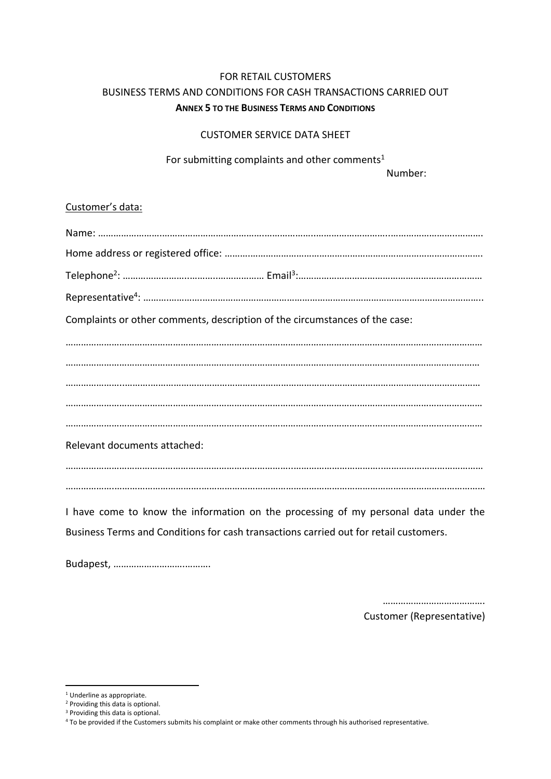# <span id="page-17-0"></span>FOR RETAIL CUSTOMERS BUSINESS TERMS AND CONDITIONS FOR CASH TRANSACTIONS CARRIED OUT **ANNEX 5 TO THE BUSINESS TERMS AND CONDITIONS**

### CUSTOMER SERVICE DATA SHEET

For submitting complaints and other comments<sup>1</sup>

Number:

### Customer's data:

| Complaints or other comments, description of the circumstances of the case:         |
|-------------------------------------------------------------------------------------|
|                                                                                     |
|                                                                                     |
|                                                                                     |
|                                                                                     |
|                                                                                     |
| Relevant documents attached:                                                        |
|                                                                                     |
|                                                                                     |
| I have come to know the information on the processing of my personal data under the |

Business Terms and Conditions for cash transactions carried out for retail customers.

Budapest, ……………………….……….

………………………………… Customer (Representative)

- <sup>1</sup> Underline as appropriate.
- <sup>2</sup> Providing this data is optional.

<sup>&</sup>lt;sup>3</sup> Providing this data is optional.

<sup>4</sup> To be provided if the Customers submits his complaint or make other comments through his authorised representative.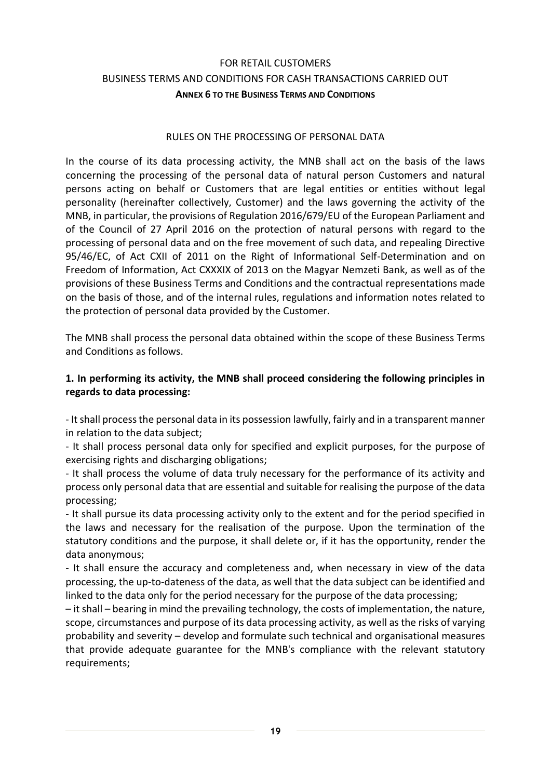# <span id="page-18-0"></span>FOR RETAIL CUSTOMERS BUSINESS TERMS AND CONDITIONS FOR CASH TRANSACTIONS CARRIED OUT **ANNEX 6 TO THE BUSINESS TERMS AND CONDITIONS**

### RULES ON THE PROCESSING OF PERSONAL DATA

In the course of its data processing activity, the MNB shall act on the basis of the laws concerning the processing of the personal data of natural person Customers and natural persons acting on behalf or Customers that are legal entities or entities without legal personality (hereinafter collectively, Customer) and the laws governing the activity of the MNB, in particular, the provisions of Regulation 2016/679/EU of the European Parliament and of the Council of 27 April 2016 on the protection of natural persons with regard to the processing of personal data and on the free movement of such data, and repealing Directive 95/46/EC, of Act CXII of 2011 on the Right of Informational Self-Determination and on Freedom of Information, Act CXXXIX of 2013 on the Magyar Nemzeti Bank, as well as of the provisions of these Business Terms and Conditions and the contractual representations made on the basis of those, and of the internal rules, regulations and information notes related to the protection of personal data provided by the Customer.

The MNB shall process the personal data obtained within the scope of these Business Terms and Conditions as follows.

## **1. In performing its activity, the MNB shall proceed considering the following principles in regards to data processing:**

- It shall process the personal data in its possession lawfully, fairly and in a transparent manner in relation to the data subject;

- It shall process personal data only for specified and explicit purposes, for the purpose of exercising rights and discharging obligations;

- It shall process the volume of data truly necessary for the performance of its activity and process only personal data that are essential and suitable for realising the purpose of the data processing;

- It shall pursue its data processing activity only to the extent and for the period specified in the laws and necessary for the realisation of the purpose. Upon the termination of the statutory conditions and the purpose, it shall delete or, if it has the opportunity, render the data anonymous;

- It shall ensure the accuracy and completeness and, when necessary in view of the data processing, the up-to-dateness of the data, as well that the data subject can be identified and linked to the data only for the period necessary for the purpose of the data processing;

– it shall – bearing in mind the prevailing technology, the costs of implementation, the nature, scope, circumstances and purpose of its data processing activity, as well as the risks of varying probability and severity – develop and formulate such technical and organisational measures that provide adequate guarantee for the MNB's compliance with the relevant statutory requirements;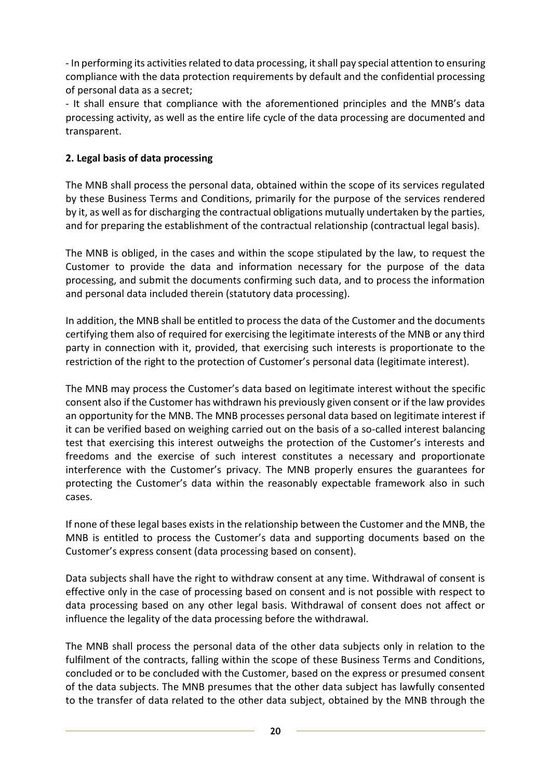- In performing its activities related to data processing, it shall pay special attention to ensuring compliance with the data protection requirements by default and the confidential processing of personal data as a secret;

- It shall ensure that compliance with the aforementioned principles and the MNB's data processing activity, as well as the entire life cycle of the data processing are documented and transparent.

# **2. Legal basis of data processing**

The MNB shall process the personal data, obtained within the scope of its services regulated by these Business Terms and Conditions, primarily for the purpose of the services rendered by it, as well as for discharging the contractual obligations mutually undertaken by the parties, and for preparing the establishment of the contractual relationship (contractual legal basis).

The MNB is obliged, in the cases and within the scope stipulated by the law, to request the Customer to provide the data and information necessary for the purpose of the data processing, and submit the documents confirming such data, and to process the information and personal data included therein (statutory data processing).

In addition, the MNB shall be entitled to process the data of the Customer and the documents certifying them also of required for exercising the legitimate interests of the MNB or any third party in connection with it, provided, that exercising such interests is proportionate to the restriction of the right to the protection of Customer's personal data (legitimate interest).

The MNB may process the Customer's data based on legitimate interest without the specific consent also if the Customer has withdrawn his previously given consent or if the law provides an opportunity for the MNB. The MNB processes personal data based on legitimate interest if it can be verified based on weighing carried out on the basis of a so-called interest balancing test that exercising this interest outweighs the protection of the Customer's interests and freedoms and the exercise of such interest constitutes a necessary and proportionate interference with the Customer's privacy. The MNB properly ensures the guarantees for protecting the Customer's data within the reasonably expectable framework also in such cases.

If none of these legal bases exists in the relationship between the Customer and the MNB, the MNB is entitled to process the Customer's data and supporting documents based on the Customer's express consent (data processing based on consent).

Data subjects shall have the right to withdraw consent at any time. Withdrawal of consent is effective only in the case of processing based on consent and is not possible with respect to data processing based on any other legal basis. Withdrawal of consent does not affect or influence the legality of the data processing before the withdrawal.

The MNB shall process the personal data of the other data subjects only in relation to the fulfilment of the contracts, falling within the scope of these Business Terms and Conditions, concluded or to be concluded with the Customer, based on the express or presumed consent of the data subjects. The MNB presumes that the other data subject has lawfully consented to the transfer of data related to the other data subject, obtained by the MNB through the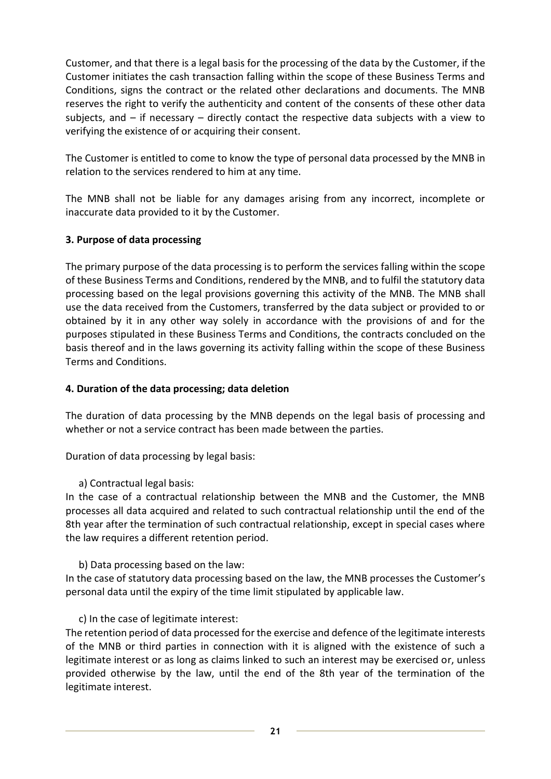Customer, and that there is a legal basis for the processing of the data by the Customer, if the Customer initiates the cash transaction falling within the scope of these Business Terms and Conditions, signs the contract or the related other declarations and documents. The MNB reserves the right to verify the authenticity and content of the consents of these other data subjects, and – if necessary – directly contact the respective data subjects with a view to verifying the existence of or acquiring their consent.

The Customer is entitled to come to know the type of personal data processed by the MNB in relation to the services rendered to him at any time.

The MNB shall not be liable for any damages arising from any incorrect, incomplete or inaccurate data provided to it by the Customer.

# **3. Purpose of data processing**

The primary purpose of the data processing is to perform the services falling within the scope of these Business Terms and Conditions, rendered by the MNB, and to fulfil the statutory data processing based on the legal provisions governing this activity of the MNB. The MNB shall use the data received from the Customers, transferred by the data subject or provided to or obtained by it in any other way solely in accordance with the provisions of and for the purposes stipulated in these Business Terms and Conditions, the contracts concluded on the basis thereof and in the laws governing its activity falling within the scope of these Business Terms and Conditions.

# **4. Duration of the data processing; data deletion**

The duration of data processing by the MNB depends on the legal basis of processing and whether or not a service contract has been made between the parties.

Duration of data processing by legal basis:

a) Contractual legal basis:

In the case of a contractual relationship between the MNB and the Customer, the MNB processes all data acquired and related to such contractual relationship until the end of the 8th year after the termination of such contractual relationship, except in special cases where the law requires a different retention period.

b) Data processing based on the law:

In the case of statutory data processing based on the law, the MNB processes the Customer's personal data until the expiry of the time limit stipulated by applicable law.

## c) In the case of legitimate interest:

The retention period of data processed for the exercise and defence of the legitimate interests of the MNB or third parties in connection with it is aligned with the existence of such a legitimate interest or as long as claims linked to such an interest may be exercised or, unless provided otherwise by the law, until the end of the 8th year of the termination of the legitimate interest.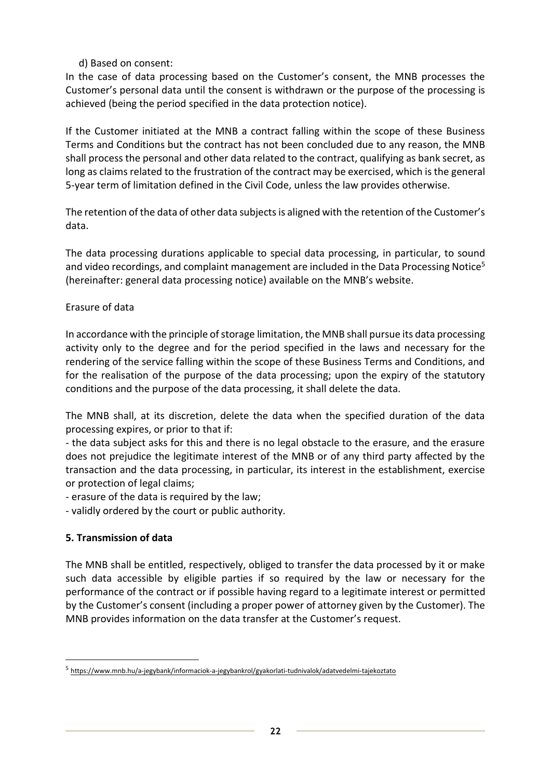# d) Based on consent:

In the case of data processing based on the Customer's consent, the MNB processes the Customer's personal data until the consent is withdrawn or the purpose of the processing is achieved (being the period specified in the data protection notice).

If the Customer initiated at the MNB a contract falling within the scope of these Business Terms and Conditions but the contract has not been concluded due to any reason, the MNB shall process the personal and other data related to the contract, qualifying as bank secret, as long as claims related to the frustration of the contract may be exercised, which is the general 5-year term of limitation defined in the Civil Code, unless the law provides otherwise.

The retention of the data of other data subjects is aligned with the retention of the Customer's data.

The data processing durations applicable to special data processing, in particular, to sound and video recordings, and complaint management are included in the Data Processing Notice<sup>5</sup> (hereinafter: general data processing notice) available on the MNB's website.

# Erasure of data

In accordance with the principle of storage limitation, the MNB shall pursue its data processing activity only to the degree and for the period specified in the laws and necessary for the rendering of the service falling within the scope of these Business Terms and Conditions, and for the realisation of the purpose of the data processing; upon the expiry of the statutory conditions and the purpose of the data processing, it shall delete the data.

The MNB shall, at its discretion, delete the data when the specified duration of the data processing expires, or prior to that if:

- the data subject asks for this and there is no legal obstacle to the erasure, and the erasure does not prejudice the legitimate interest of the MNB or of any third party affected by the transaction and the data processing, in particular, its interest in the establishment, exercise or protection of legal claims;

- erasure of the data is required by the law;

- validly ordered by the court or public authority.

# **5. Transmission of data**

The MNB shall be entitled, respectively, obliged to transfer the data processed by it or make such data accessible by eligible parties if so required by the law or necessary for the performance of the contract or if possible having regard to a legitimate interest or permitted by the Customer's consent (including a proper power of attorney given by the Customer). The MNB provides information on the data transfer at the Customer's request.

<sup>&</sup>lt;sup>5</sup> <https://www.mnb.hu/a-jegybank/informaciok-a-jegybankrol/gyakorlati-tudnivalok/adatvedelmi-tajekoztato>